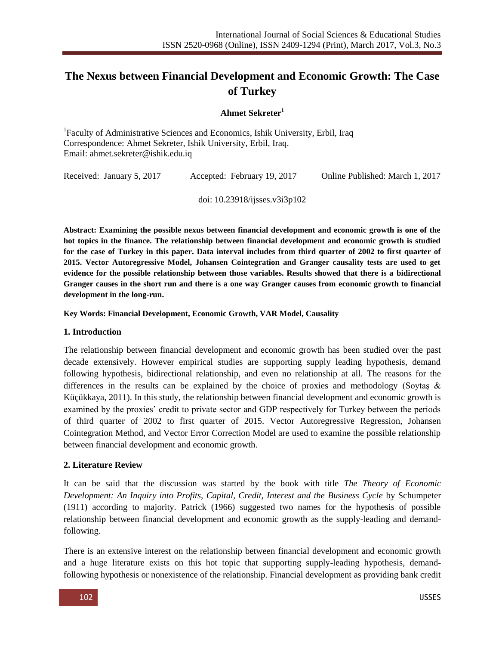# **The Nexus between Financial Development and Economic Growth: The Case of Turkey**

## **Ahmet Sekreter 1**

<sup>1</sup>Faculty of Administrative Sciences and Economics, Ishik University, Erbil, Iraq Correspondence: Ahmet Sekreter, Ishik University, Erbil, Iraq. Email: ahmet.sekreter@ishik.edu.iq

Received: January 5, 2017 Accepted: February 19, 2017 Online Published: March 1, 2017

doi: 10.23918/ijsses.v3i3p102

**Abstract: Examining the possible nexus between financial development and economic growth is one of the hot topics in the finance. The relationship between financial development and economic growth is studied for the case of Turkey in this paper. Data interval includes from third quarter of 2002 to first quarter of 2015. Vector Autoregressive Model, Johansen Cointegration and Granger causality tests are used to get evidence for the possible relationship between those variables. Results showed that there is a bidirectional Granger causes in the short run and there is a one way Granger causes from economic growth to financial development in the long-run.**

**Key Words: Financial Development, Economic Growth, VAR Model, Causality**

#### **1. Introduction**

The relationship between financial development and economic growth has been studied over the past decade extensively. However empirical studies are supporting supply leading hypothesis, demand following hypothesis, bidirectional relationship, and even no relationship at all. The reasons for the differences in the results can be explained by the choice of proxies and methodology (Soytaş  $\&$ Küçükkaya, 2011). In this study, the relationship between financial development and economic growth is examined by the proxies' credit to private sector and GDP respectively for Turkey between the periods of third quarter of 2002 to first quarter of 2015. Vector Autoregressive Regression, Johansen Cointegration Method, and Vector Error Correction Model are used to examine the possible relationship between financial development and economic growth.

### **2. Literature Review**

It can be said that the discussion was started by the book with title *The Theory of Economic Development: An Inquiry into Profits, Capital, Credit, Interest and the Business Cycle* by Schumpeter (1911) according to majority. Patrick (1966) suggested two names for the hypothesis of possible relationship between financial development and economic growth as the supply-leading and demandfollowing.

There is an extensive interest on the relationship between financial development and economic growth and a huge literature exists on this hot topic that supporting supply-leading hypothesis, demandfollowing hypothesis or nonexistence of the relationship. Financial development as providing bank credit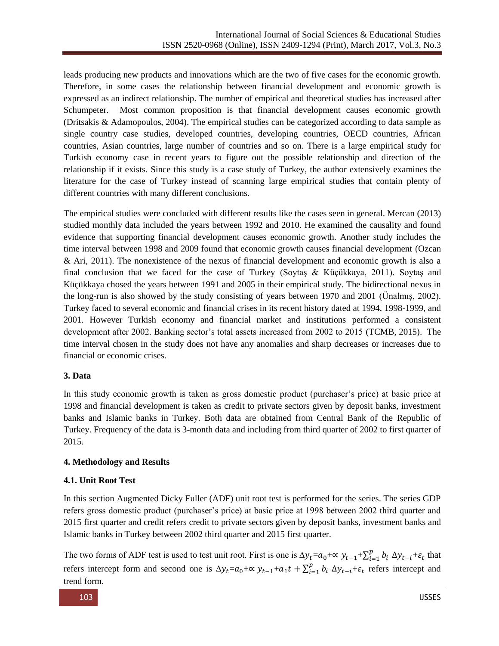leads producing new products and innovations which are the two of five cases for the economic growth. Therefore, in some cases the relationship between financial development and economic growth is expressed as an indirect relationship. The number of empirical and theoretical studies has increased after Schumpeter. Most common proposition is that financial development causes economic growth (Dritsakis & Adamopoulos, 2004). The empirical studies can be categorized according to data sample as single country case studies, developed countries, developing countries, OECD countries, African countries, Asian countries, large number of countries and so on. There is a large empirical study for Turkish economy case in recent years to figure out the possible relationship and direction of the relationship if it exists. Since this study is a case study of Turkey, the author extensively examines the literature for the case of Turkey instead of scanning large empirical studies that contain plenty of different countries with many different conclusions.

The empirical studies were concluded with different results like the cases seen in general. Mercan (2013) studied monthly data included the years between 1992 and 2010. He examined the causality and found evidence that supporting financial development causes economic growth. Another study includes the time interval between 1998 and 2009 found that economic growth causes financial development (Ozcan & Ari, 2011). The nonexistence of the nexus of financial development and economic growth is also a final conclusion that we faced for the case of Turkey (Soytaş & Küçükkaya, 2011). Soytaş and Küçükkaya chosed the years between 1991 and 2005 in their empirical study. The bidirectional nexus in the long-run is also showed by the study consisting of years between 1970 and 2001 (Ünalmış, 2002). Turkey faced to several economic and financial crises in its recent history dated at 1994, 1998-1999, and 2001. However Turkish economy and financial market and institutions performed a consistent development after 2002. Banking sector's total assets increased from 2002 to 2015 (TCMB, 2015). The time interval chosen in the study does not have any anomalies and sharp decreases or increases due to financial or economic crises.

## **3. Data**

In this study economic growth is taken as gross domestic product (purchaser's price) at basic price at 1998 and financial development is taken as credit to private sectors given by deposit banks, investment banks and Islamic banks in Turkey. Both data are obtained from Central Bank of the Republic of Turkey. Frequency of the data is 3-month data and including from third quarter of 2002 to first quarter of 2015.

## **4. Methodology and Results**

## **4.1. Unit Root Test**

In this section Augmented Dicky Fuller (ADF) unit root test is performed for the series. The series GDP refers gross domestic product (purchaser's price) at basic price at 1998 between 2002 third quarter and 2015 first quarter and credit refers credit to private sectors given by deposit banks, investment banks and Islamic banks in Turkey between 2002 third quarter and 2015 first quarter.

The two forms of ADF test is used to test unit root. First is one is  $\Delta y_t = a_0 + \alpha y_{t-1} + \sum_{i=1}^p b_i$  $_{i=1}^p b_i \Delta y_{t-i} + \varepsilon_t$  that refers intercept form and second one is  $\Delta y_t = a_0 + \alpha y_{t-1} + a_1 t + \sum_{i=1}^p b_i$  $_{i=1}^{p} b_i \Delta y_{t-i} + \varepsilon_t$  refers intercept and trend form.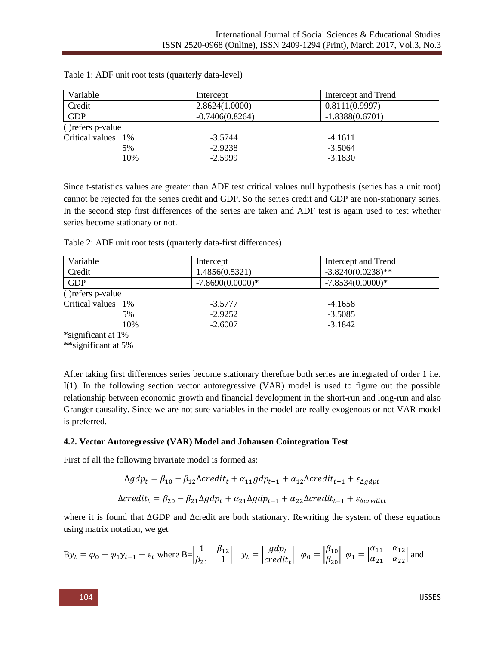| Variable           |     | Intercept         | Intercept and Trend |
|--------------------|-----|-------------------|---------------------|
| Credit             |     | 2.8624(1.0000)    | 0.8111(0.9997)      |
| <b>GDP</b>         |     | $-0.7406(0.8264)$ | $-1.8388(0.6701)$   |
| () refers p-value  |     |                   |                     |
| Critical values 1% |     | $-3.5744$         | $-4.1611$           |
|                    | 5%  | $-2.9238$         | $-3.5064$           |
|                    | 10% | $-2.5999$         | $-3.1830$           |

Table 1: ADF unit root tests (quarterly data-level)

Since t-statistics values are greater than ADF test critical values null hypothesis (series has a unit root) cannot be rejected for the series credit and GDP. So the series credit and GDP are non-stationary series. In the second step first differences of the series are taken and ADF test is again used to test whether series become stationary or not.

Table 2: ADF unit root tests (quarterly data-first differences)

| Variable                | Intercept          | Intercept and Trend  |
|-------------------------|--------------------|----------------------|
| Credit                  | 1.4856(0.5321)     | $-3.8240(0.0238)$ ** |
| <b>GDP</b>              | $-7.8690(0.0000)*$ | $-7.8534(0.0000)*$   |
| ( <i>refers</i> p-value |                    |                      |
| Critical values 1%      | $-3.5777$          | $-4.1658$            |
| 5%                      | $-2.9252$          | $-3.5085$            |
| 10%                     | $-2.6007$          | $-3.1842$            |
| *significant at 1%      |                    |                      |
| **significant at 5%     |                    |                      |

After taking first differences series become stationary therefore both series are integrated of order 1 i.e. I(1). In the following section vector autoregressive (VAR) model is used to figure out the possible relationship between economic growth and financial development in the short-run and long-run and also Granger causality. Since we are not sure variables in the model are really exogenous or not VAR model is preferred.

## **4.2. Vector Autoregressive (VAR) Model and Johansen Cointegration Test**

First of all the following bivariate model is formed as:

$$
\Delta gdp_t = \beta_{10} - \beta_{12}\Delta c \text{redit}_t + \alpha_{11}gdp_{t-1} + \alpha_{12}\Delta c \text{redit}_{t-1} + \varepsilon_{\Delta gdpt}
$$
  

$$
\Delta c \text{redit}_t = \beta_{20} - \beta_{21}\Delta gdp_t + \alpha_{21}\Delta gdp_{t-1} + \alpha_{22}\Delta c \text{redit}_{t-1} + \varepsilon_{\Delta c \text{redit}}
$$

where it is found that  $\triangle$ GDP and  $\triangle$ credit are both stationary. Rewriting the system of these equations using matrix notation, we get

$$
\text{By}_t = \varphi_0 + \varphi_1 \text{y}_{t-1} + \varepsilon_t \text{ where } \text{B=}\begin{vmatrix} 1 & \beta_{12} \\ \beta_{21} & 1 \end{vmatrix} \quad \text{y}_t = \begin{vmatrix} gdp_t \\ credit_t \end{vmatrix} \quad \varphi_0 = \begin{vmatrix} \beta_{10} \\ \beta_{20} \end{vmatrix} \quad \varphi_1 = \begin{vmatrix} \alpha_{11} & \alpha_{12} \\ \alpha_{21} & \alpha_{22} \end{vmatrix} \text{ and }
$$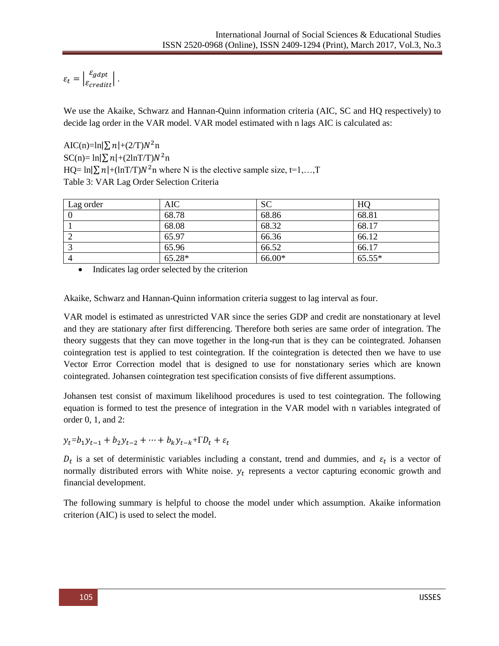$$
\varepsilon_t = \left| \frac{\varepsilon_{gapt}}{\varepsilon_{credit}} \right|.
$$

We use the Akaike, Schwarz and Hannan-Quinn information criteria (AIC, SC and HQ respectively) to decide lag order in the VAR model. VAR model estimated with n lags AIC is calculated as:

AIC(n)=ln| $\sum n$ |+(2/T) $N^2$ n  $SC(n) = \ln[\sum n] + (2\ln T/T)N^2$ n HQ=  $\ln[\sum n + (\ln T/T)N^2]$  where N is the elective sample size, t=1,...,T Table 3: VAR Lag Order Selection Criteria

| Lag order | <b>AIC</b> | <b>SC</b> | HQ       |
|-----------|------------|-----------|----------|
|           | 68.78      | 68.86     | 68.81    |
|           | 68.08      | 68.32     | 68.17    |
|           | 65.97      | 66.36     | 66.12    |
|           | 65.96      | 66.52     | 66.17    |
|           | 65.28*     | 66.00*    | $65.55*$ |

• Indicates lag order selected by the criterion

Akaike, Schwarz and Hannan-Quinn information criteria suggest to lag interval as four.

VAR model is estimated as unrestricted VAR since the series GDP and credit are nonstationary at level and they are stationary after first differencing. Therefore both series are same order of integration. The theory suggests that they can move together in the long-run that is they can be cointegrated. Johansen cointegration test is applied to test cointegration. If the cointegration is detected then we have to use Vector Error Correction model that is designed to use for nonstationary series which are known cointegrated. Johansen cointegration test specification consists of five different assumptions.

Johansen test consist of maximum likelihood procedures is used to test cointegration. The following equation is formed to test the presence of integration in the VAR model with n variables integrated of order 0, 1, and 2:

 $y_t = b_1 y_{t-1} + b_2 y_{t-2} + \cdots + b_k y_{t-k} + \Gamma D_t + \varepsilon_t$ 

 $D_t$  is a set of deterministic variables including a constant, trend and dummies, and  $\varepsilon_t$  is a vector of normally distributed errors with White noise.  $y_t$  represents a vector capturing economic growth and financial development.

The following summary is helpful to choose the model under which assumption. Akaike information criterion (AIC) is used to select the model.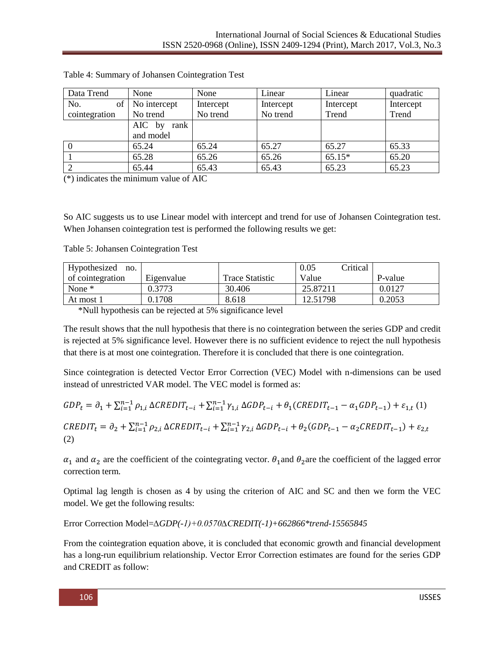| Data Trend    | None           | None      | Linear    | Linear    | quadratic |
|---------------|----------------|-----------|-----------|-----------|-----------|
| No.<br>of     | No intercept   | Intercept | Intercept | Intercept | Intercept |
| cointegration | No trend       | No trend  | No trend  | Trend     | Trend     |
|               | AIC by<br>rank |           |           |           |           |
|               | and model      |           |           |           |           |
|               | 65.24          | 65.24     | 65.27     | 65.27     | 65.33     |
|               | 65.28          | 65.26     | 65.26     | $65.15*$  | 65.20     |
|               | 65.44          | 65.43     | 65.43     | 65.23     | 65.23     |

Table 4: Summary of Johansen Cointegration Test

(\*) indicates the minimum value of AIC

So AIC suggests us to use Linear model with intercept and trend for use of Johansen Cointegration test. When Johansen cointegration test is performed the following results we get:

Table 5: Johansen Cointegration Test

| Hypothesized<br>no. |            |                 | 0.05<br>Critical |         |
|---------------------|------------|-----------------|------------------|---------|
| of cointegration    | Eigenvalue | Trace Statistic | Value            | P-value |
| None *              | .).3773    | 30.406          | 25.87211         | 0.0127  |
| At most 1           | 0.1708     | 8.618           | 12.51798         | 0.2053  |

\*Null hypothesis can be rejected at 5% significance level

The result shows that the null hypothesis that there is no cointegration between the series GDP and credit is rejected at 5% significance level. However there is no sufficient evidence to reject the null hypothesis that there is at most one cointegration. Therefore it is concluded that there is one cointegration.

Since cointegration is detected Vector Error Correction (VEC) Model with n-dimensions can be used instead of unrestricted VAR model. The VEC model is formed as:

$$
GDP_t = \partial_1 + \sum_{i=1}^{n-1} \rho_{1,i} \Delta CREDIT_{t-i} + \sum_{i=1}^{n-1} \gamma_{1,i} \Delta GDP_{t-i} + \theta_1 (CREDIT_{t-1} - \alpha_1 GDP_{t-1}) + \varepsilon_{1,t} (1)
$$

$$
\label{eq:REDIT} \begin{split} \mathit{CREDIT}_{t} = \partial_2 + \textstyle\sum_{i=1}^{n-1}\rho_{2,i}\ \Delta \mathit{CREDIT}_{t-i} + \textstyle\sum_{i=1}^{n-1}\gamma_{2,i}\ \Delta \mathit{GDP}_{t-i} + \theta_2 (\mathit{GDP}_{t-1} - \alpha_2 \mathit{CREDIT}_{t-1}) + \varepsilon_{2,t} \\ \textbf{(2)} \end{split}
$$

 $\alpha_1$  and  $\alpha_2$  are the coefficient of the cointegrating vector.  $\theta_1$  and  $\theta_2$  are the coefficient of the lagged error correction term.

Optimal lag length is chosen as 4 by using the criterion of AIC and SC and then we form the VEC model. We get the following results:

Error Correction Model=*∆GDP(-1)+0.0570∆CREDIT(-1)+662866\*trend-15565845*

From the cointegration equation above, it is concluded that economic growth and financial development has a long-run equilibrium relationship. Vector Error Correction estimates are found for the series GDP and CREDIT as follow: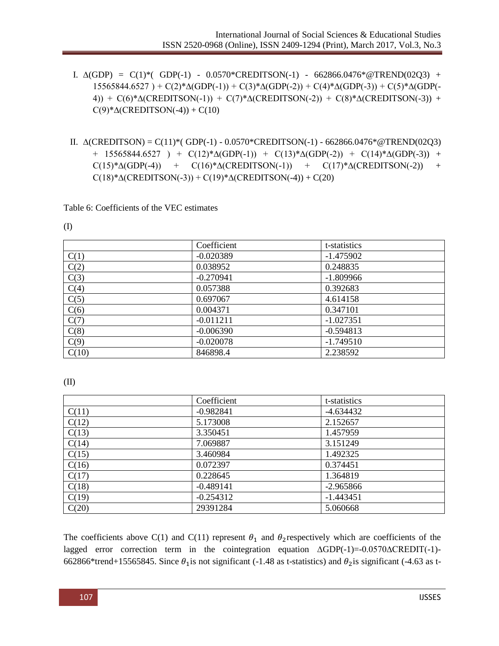- I. ∆(GDP) = C(1)\*( GDP(-1) 0.0570\*CREDITSON(-1) 662866.0476\*@TREND(02Q3) + 15565844.6527 ) + C(2)\*∆(GDP(-1)) + C(3)\*∆(GDP(-2)) + C(4)\*∆(GDP(-3)) + C(5)\*∆(GDP(- 4)) + C(6)\*∆(CREDITSON(-1)) + C(7)\*∆(CREDITSON(-2)) + C(8)\*∆(CREDITSON(-3)) +  $C(9)$ \* $\Delta$ (CREDITSON(-4)) + C(10)
- II. ∆(CREDITSON) = C(11)\*( GDP(-1) 0.0570\*CREDITSON(-1) 662866.0476\*@TREND(02Q3) + 15565844.6527 ) +  $C(12)*\Delta(GDP(-1))$  +  $C(13)*\Delta(GDP(-2))$  +  $C(14)*\Delta(GDP(-3))$  +  $C(15)*\Delta(GDP(-4)) + C(16)*\Delta(CREDITSON(-1)) + C(17)*\Delta(CREDITSON(-2)) +$  $C(18)*\Delta(CREDITSON(-3)) + C(19)*\Delta(CREDITSON(-4)) + C(20)$

Table 6: Coefficients of the VEC estimates

(I)

|       | Coefficient | t-statistics |
|-------|-------------|--------------|
| C(1)  | $-0.020389$ | $-1.475902$  |
| C(2)  | 0.038952    | 0.248835     |
| C(3)  | $-0.270941$ | $-1.809966$  |
| C(4)  | 0.057388    | 0.392683     |
| C(5)  | 0.697067    | 4.614158     |
| C(6)  | 0.004371    | 0.347101     |
| C(7)  | $-0.011211$ | $-1.027351$  |
| C(8)  | $-0.006390$ | $-0.594813$  |
| C(9)  | $-0.020078$ | $-1.749510$  |
| C(10) | 846898.4    | 2.238592     |

(II)

|       | Coefficient | t-statistics |
|-------|-------------|--------------|
| C(11) | $-0.982841$ | $-4.634432$  |
| C(12) | 5.173008    | 2.152657     |
| C(13) | 3.350451    | 1.457959     |
| C(14) | 7.069887    | 3.151249     |
| C(15) | 3.460984    | 1.492325     |
| C(16) | 0.072397    | 0.374451     |
| C(17) | 0.228645    | 1.364819     |
| C(18) | $-0.489141$ | $-2.965866$  |
| C(19) | $-0.254312$ | $-1.443451$  |
| C(20) | 29391284    | 5.060668     |

The coefficients above C(1) and C(11) represent  $\theta_1$  and  $\theta_2$  respectively which are coefficients of the lagged error correction term in the cointegration equation ∆GDP(-1)=-0.0570∆CREDIT(-1)- 662866\*trend+15565845. Since  $\theta_1$  is not significant (-1.48 as t-statistics) and  $\theta_2$  is significant (-4.63 as t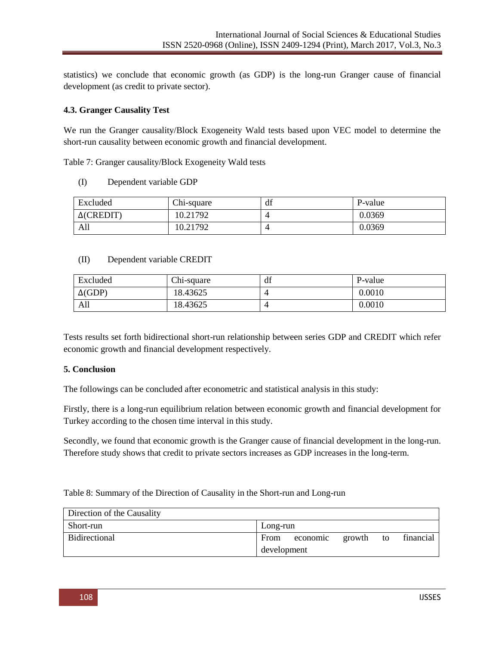statistics) we conclude that economic growth (as GDP) is the long-run Granger cause of financial development (as credit to private sector).

### **4.3. Granger Causality Test**

We run the Granger causality/Block Exogeneity Wald tests based upon VEC model to determine the short-run causality between economic growth and financial development.

Table 7: Granger causality/Block Exogeneity Wald tests

(I) Dependent variable GDP

| Excluded          | Chi-square | df | P-value |
|-------------------|------------|----|---------|
| $\Delta$ (CREDIT) | 10.21792   |    | 0.0369  |
| All               | 10.21792   |    | 0.0369  |

#### (II) Dependent variable CREDIT

| Excluded       | Chi-square | df | P-value    |
|----------------|------------|----|------------|
| $\Delta$ (GDP) | 8.43625    |    | $0.0010\,$ |
| All            | 8.43625    |    | 0.0010     |

Tests results set forth bidirectional short-run relationship between series GDP and CREDIT which refer economic growth and financial development respectively.

### **5. Conclusion**

The followings can be concluded after econometric and statistical analysis in this study:

Firstly, there is a long-run equilibrium relation between economic growth and financial development for Turkey according to the chosen time interval in this study.

Secondly, we found that economic growth is the Granger cause of financial development in the long-run. Therefore study shows that credit to private sectors increases as GDP increases in the long-term.

### Table 8: Summary of the Direction of Causality in the Short-run and Long-run

| Direction of the Causality |                                               |
|----------------------------|-----------------------------------------------|
| Short-run                  | Long-run                                      |
| Bidirectional              | financial<br>From<br>growth<br>economic<br>to |
|                            | development                                   |